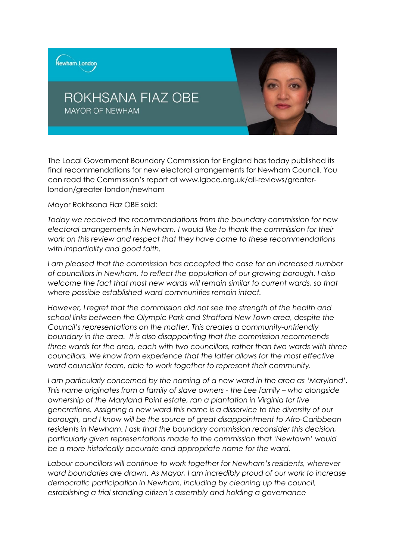

The Local Government Boundary Commission for England has today published its final recommendations for new electoral arrangements for Newham Council. You can read the Commission's report at www.lgbce.org.uk/all-reviews/greaterlondon/greater-london/newham

Mayor Rokhsana Fiaz OBE said:

*Today we received the recommendations from the boundary commission for new electoral arrangements in Newham. I would like to thank the commission for their work on this review and respect that they have come to these recommendations with impartiality and good faith.* 

I am pleased that the commission has accepted the case for an increased number *of councillors in Newham, to reflect the population of our growing borough. I also welcome the fact that most new wards will remain similar to current wards, so that where possible established ward communities remain intact.* 

*However, I regret that the commission did not see the strength of the health and school links between the Olympic Park and Stratford New Town area, despite the Council's representations on the matter. This creates a community-unfriendly boundary in the area. It is also disappointing that the commission recommends three wards for the area, each with two councillors, rather than two wards with three councillors. We know from experience that the latter allows for the most effective ward councillor team, able to work together to represent their community.* 

*I am particularly concerned by the naming of a new ward in the area as 'Maryland'. This name originates from a family of slave owners - the Lee family – who alongside ownership of the Maryland Point estate, ran a plantation in Virginia for five generations. Assigning a new ward this name is a disservice to the diversity of our borough, and I know will be the source of great disappointment to Afro-Caribbean residents in Newham. I ask that the boundary commission reconsider this decision, particularly given representations made to the commission that 'Newtown' would be a more historically accurate and appropriate name for the ward.* 

*Labour councillors will continue to work together for Newham's residents, wherever ward boundaries are drawn. As Mayor, I am incredibly proud of our work to increase democratic participation in Newham, including by cleaning up the council, establishing a trial standing citizen's assembly and holding a governance*